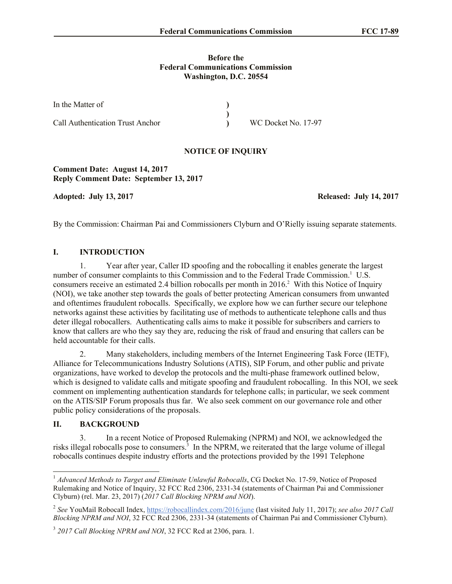#### **Before the Federal Communications Commission Washington, D.C. 20554**

| In the Matter of                        |                     |
|-----------------------------------------|---------------------|
|                                         |                     |
| <b>Call Authentication Trust Anchor</b> | WC Docket No. 17-97 |

### **NOTICE OF INQUIRY**

**Comment Date: August 14, 2017 Reply Comment Date: September 13, 2017**

**Adopted: July 13, 2017 Released: July 14, 2017**

By the Commission: Chairman Pai and Commissioners Clyburn and O'Rielly issuing separate statements.

#### **I. INTRODUCTION**

1. Year after year, Caller ID spoofing and the robocalling it enables generate the largest number of consumer complaints to this Commission and to the Federal Trade Commission.<sup>1</sup> U.S. consumers receive an estimated 2.4 billion robocalls per month in 2016.<sup>2</sup> With this Notice of Inquiry (NOI), we take another step towards the goals of better protecting American consumers from unwanted and oftentimes fraudulent robocalls. Specifically, we explore how we can further secure our telephone networks against these activities by facilitating use of methods to authenticate telephone calls and thus deter illegal robocallers. Authenticating calls aims to make it possible for subscribers and carriers to know that callers are who they say they are, reducing the risk of fraud and ensuring that callers can be held accountable for their calls.

2. Many stakeholders, including members of the Internet Engineering Task Force (IETF), Alliance for Telecommunications Industry Solutions (ATIS), SIP Forum, and other public and private organizations, have worked to develop the protocols and the multi-phase framework outlined below, which is designed to validate calls and mitigate spoofing and fraudulent robocalling. In this NOI, we seek comment on implementing authentication standards for telephone calls; in particular, we seek comment on the ATIS/SIP Forum proposals thus far. We also seek comment on our governance role and other public policy considerations of the proposals.

## **II. BACKGROUND**

 $\overline{a}$ 

3. In a recent Notice of Proposed Rulemaking (NPRM) and NOI, we acknowledged the risks illegal robocalls pose to consumers.<sup>3</sup> In the NPRM, we reiterated that the large volume of illegal robocalls continues despite industry efforts and the protections provided by the 1991 Telephone

<sup>&</sup>lt;sup>1</sup> *Advanced Methods to Target and Eliminate Unlawful Robocalls*, CG Docket No. 17-59, Notice of Proposed Rulemaking and Notice of Inquiry, 32 FCC Rcd 2306, 2331-34 (statements of Chairman Pai and Commissioner Clyburn) (rel. Mar. 23, 2017) (*2017 Call Blocking NPRM and NOI*).

<sup>2</sup> *See* YouMail Robocall Index, https://robocallindex.com/2016/june (last visited July 11, 2017); *see also 2017 Call Blocking NPRM and NOI*, 32 FCC Rcd 2306, 2331-34 (statements of Chairman Pai and Commissioner Clyburn).

<sup>3</sup> *2017 Call Blocking NPRM and NOI*, 32 FCC Rcd at 2306, para. 1.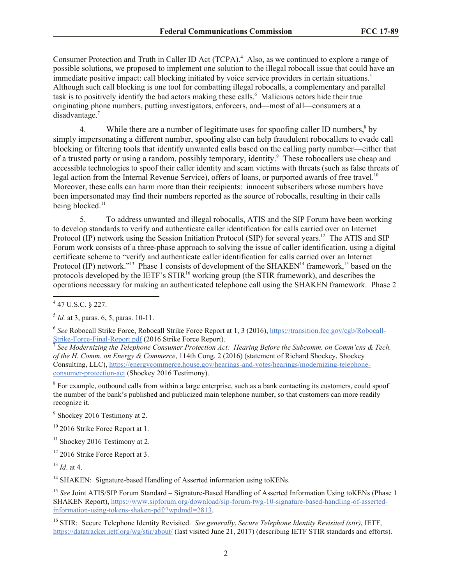Consumer Protection and Truth in Caller ID Act (TCPA).<sup>4</sup> Also, as we continued to explore a range of possible solutions, we proposed to implement one solution to the illegal robocall issue that could have an immediate positive impact: call blocking initiated by voice service providers in certain situations.<sup>5</sup> Although such call blocking is one tool for combatting illegal robocalls, a complementary and parallel task is to positively identify the bad actors making these calls.<sup>6</sup> Malicious actors hide their true originating phone numbers, putting investigators, enforcers, and—most of all—consumers at a disadvantage.<sup>7</sup>

4. While there are a number of legitimate uses for spoofing caller ID numbers,<sup>8</sup> by simply impersonating a different number, spoofing also can help fraudulent robocallers to evade call blocking or filtering tools that identify unwanted calls based on the calling party number—either that of a trusted party or using a random, possibly temporary, identity.<sup>9</sup> These robocallers use cheap and accessible technologies to spoof their caller identity and scam victims with threats (such as false threats of legal action from the Internal Revenue Service), offers of loans, or purported awards of free travel.<sup>10</sup> Moreover, these calls can harm more than their recipients: innocent subscribers whose numbers have been impersonated may find their numbers reported as the source of robocalls, resulting in their calls being blocked.<sup>11</sup>

5. To address unwanted and illegal robocalls, ATIS and the SIP Forum have been working to develop standards to verify and authenticate caller identification for calls carried over an Internet Protocol (IP) network using the Session Initiation Protocol (SIP) for several years.<sup>12</sup> The ATIS and SIP Forum work consists of a three-phase approach to solving the issue of caller identification, using a digital certificate scheme to "verify and authenticate caller identification for calls carried over an Internet Protocol (IP) network."<sup>13</sup> Phase 1 consists of development of the SHAKEN<sup>14</sup> framework,<sup>15</sup> based on the protocols developed by the IETF's STIR<sup>16</sup> working group (the STIR framework), and describes the operations necessary for making an authenticated telephone call using the SHAKEN framework. Phase 2

<sup>8</sup> For example, outbound calls from within a large enterprise, such as a bank contacting its customers, could spoof the number of the bank's published and publicized main telephone number, so that customers can more readily recognize it.

 4 47 U.S.C. § 227.

<sup>5</sup> *Id.* at 3, paras. 6, 5, paras. 10-11.

<sup>6</sup> *See* Robocall Strike Force, Robocall Strike Force Report at 1, 3 (2016), https://transition.fcc.gov/cgb/Robocall-Strike-Force-Final-Report.pdf (2016 Strike Force Report).<br><sup>7</sup> See Medamirius the Telephone Consumer Pustation As

*See Modernizing the Telephone Consumer Protection Act: Hearing Before the Subcomm. on Comm'cns & Tech. of the H. Comm. on Energy & Commerce*, 114th Cong. 2 (2016) (statement of Richard Shockey, Shockey Consulting, LLC), https://energycommerce.house.gov/hearings-and-votes/hearings/modernizing-telephoneconsumer-protection-act (Shockey 2016 Testimony).

<sup>&</sup>lt;sup>9</sup> Shockey 2016 Testimony at 2.

 $10\,$  2016 Strike Force Report at 1.

 $11$  Shockey 2016 Testimony at 2.

<sup>&</sup>lt;sup>12</sup> 2016 Strike Force Report at 3.

<sup>13</sup> *Id*. at 4.

<sup>&</sup>lt;sup>14</sup> SHAKEN: Signature-based Handling of Asserted information using toKENs.

<sup>&</sup>lt;sup>15</sup> *See* Joint ATIS/SIP Forum Standard – Signature-Based Handling of Asserted Information Using toKENs (Phase 1 SHAKEN Report), https://www.sipforum.org/download/sip-forum-twg-10-signature-based-handling-of-assertedinformation-using-tokens-shaken-pdf/?wpdmdl=2813.

<sup>16</sup> STIR: Secure Telephone Identity Revisited. *See generally*, *Secure Telephone Identity Revisited (stir)*, IETF, https://datatracker.ietf.org/wg/stir/about/ (last visited June 21, 2017) (describing IETF STIR standards and efforts).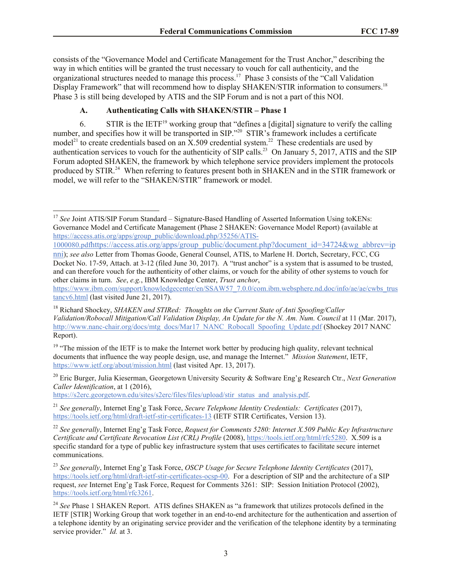consists of the "Governance Model and Certificate Management for the Trust Anchor," describing the way in which entities will be granted the trust necessary to vouch for call authenticity, and the organizational structures needed to manage this process.<sup>17</sup> Phase 3 consists of the "Call Validation" Display Framework" that will recommend how to display SHAKEN/STIR information to consumers.<sup>18</sup> Phase 3 is still being developed by ATIS and the SIP Forum and is not a part of this NOI.

# **A. Authenticating Calls with SHAKEN/STIR – Phase 1**

6. STIR is the  $IETF<sup>19</sup>$  working group that "defines a [digital] signature to verify the calling number, and specifies how it will be transported in SIP."<sup>20</sup> STIR's framework includes a certificate model<sup>21</sup> to create credentials based on an X.509 credential system.<sup>22</sup> These credentials are used by authentication services to vouch for the authenticity of SIP calls.<sup>23</sup> On January 5, 2017, ATIS and the SIP Forum adopted SHAKEN, the framework by which telephone service providers implement the protocols produced by STIR.<sup>24</sup> When referring to features present both in SHAKEN and in the STIR framework or model, we will refer to the "SHAKEN/STIR" framework or model.

1000080.pdfhttps://access.atis.org/apps/group\_public/document.php?document\_id=34724&wg\_abbrev=ip nni); *see also* Letter from Thomas Goode, General Counsel, ATIS, to Marlene H. Dortch, Secretary, FCC, CG

https://s2erc.georgetown.edu/sites/s2erc/files/files/upload/stir\_status\_and\_analysis.pdf.

<sup>21</sup> *See generally*, Internet Eng'g Task Force, *Secure Telephone Identity Credentials: Certificates* (2017), https://tools.ietf.org/html/draft-ietf-stir-certificates-13 (IETF STIR Certificates, Version 13).

 $\overline{\phantom{a}}$ <sup>17</sup> See Joint ATIS/SIP Forum Standard – Signature-Based Handling of Asserted Information Using toKENs: Governance Model and Certificate Management (Phase 2 SHAKEN: Governance Model Report) (available at https://access.atis.org/apps/group\_public/download.php/35256/ATIS-

Docket No. 17-59, Attach. at 3-12 (filed June 30, 2017). A "trust anchor" is a system that is assumed to be trusted, and can therefore vouch for the authenticity of other claims, or vouch for the ability of other systems to vouch for other claims in turn. *See*, *e.g.*, IBM Knowledge Center, *Trust anchor*,

https://www.ibm.com/support/knowledgecenter/en/SSAW57\_7.0.0/com.ibm.websphere.nd.doc/info/ae/ae/cwbs\_trus tancv6.html (last visited June 21, 2017).

<sup>18</sup> Richard Shockey, *SHAKEN and STIRed: Thoughts on the Current State of Anti Spoofing/Caller Validation/Robocall Mitigation/Call Validation Display, An Update for the N. Am. Num. Council* at 11 (Mar. 2017), http://www.nanc-chair.org/docs/mtg\_docs/Mar17\_NANC\_Robocall\_Spoofing\_Update.pdf (Shockey 2017 NANC Report).

 $19$  "The mission of the IETF is to make the Internet work better by producing high quality, relevant technical documents that influence the way people design, use, and manage the Internet." *Mission Statement*, IETF, https://www.ietf.org/about/mission.html (last visited Apr. 13, 2017).

<sup>20</sup> Eric Burger, Julia Kieserman, Georgetown University Security & Software Eng'g Research Ctr., *Next Generation Caller Identification*, at 1 (2016),

<sup>22</sup> *See generally*, Internet Eng'g Task Force, *Request for Comments 5280: Internet X.509 Public Key Infrastructure Certificate and Certificate Revocation List (CRL) Profile* (2008), https://tools.ietf.org/html/rfc5280. X.509 is a specific standard for a type of public key infrastructure system that uses certificates to facilitate secure internet communications.

<sup>23</sup> *See generally*, Internet Eng'g Task Force, *OSCP Usage for Secure Telephone Identity Certificates* (2017), https://tools.ietf.org/html/draft-ietf-stir-certificates-ocsp-00. For a description of SIP and the architecture of a SIP request, *see* Internet Eng'g Task Force, Request for Comments 3261: SIP: Session Initiation Protocol (2002), https://tools.ietf.org/html/rfc3261.

<sup>&</sup>lt;sup>24</sup> See Phase 1 SHAKEN Report. ATIS defines SHAKEN as "a framework that utilizes protocols defined in the IETF [STIR] Working Group that work together in an end-to-end architecture for the authentication and assertion of a telephone identity by an originating service provider and the verification of the telephone identity by a terminating service provider." *Id.* at 3.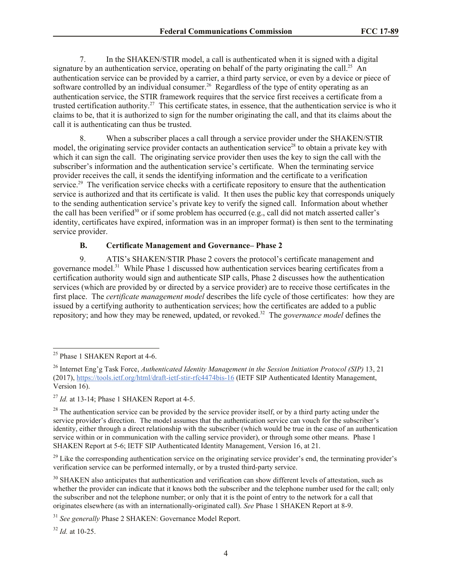7. In the SHAKEN/STIR model, a call is authenticated when it is signed with a digital signature by an authentication service, operating on behalf of the party originating the call.<sup>25</sup> An authentication service can be provided by a carrier, a third party service, or even by a device or piece of software controlled by an individual consumer.<sup>26</sup> Regardless of the type of entity operating as an authentication service, the STIR framework requires that the service first receives a certificate from a trusted certification authority.<sup>27</sup> This certificate states, in essence, that the authentication service is who it claims to be, that it is authorized to sign for the number originating the call, and that its claims about the call it is authenticating can thus be trusted.

8. When a subscriber places a call through a service provider under the SHAKEN/STIR model, the originating service provider contacts an authentication service<sup>28</sup> to obtain a private key with which it can sign the call. The originating service provider then uses the key to sign the call with the subscriber's information and the authentication service's certificate. When the terminating service provider receives the call, it sends the identifying information and the certificate to a verification service.<sup>29</sup> The verification service checks with a certificate repository to ensure that the authentication service is authorized and that its certificate is valid. It then uses the public key that corresponds uniquely to the sending authentication service's private key to verify the signed call. Information about whether the call has been verified<sup>30</sup> or if some problem has occurred (e.g., call did not match asserted caller's identity, certificates have expired, information was in an improper format) is then sent to the terminating service provider.

#### **B. Certificate Management and Governance– Phase 2**

9. ATIS's SHAKEN/STIR Phase 2 covers the protocol's certificate management and governance model.<sup>31</sup> While Phase 1 discussed how authentication services bearing certificates from a certification authority would sign and authenticate SIP calls, Phase 2 discusses how the authentication services (which are provided by or directed by a service provider) are to receive those certificates in the first place. The *certificate management model* describes the life cycle of those certificates: how they are issued by a certifying authority to authentication services; how the certificates are added to a public repository; and how they may be renewed, updated, or revoked.<sup>32</sup> The *governance model* defines the

l

<sup>32</sup> *Id.* at 10-25.

<sup>&</sup>lt;sup>25</sup> Phase 1 SHAKEN Report at 4-6.

<sup>26</sup> Internet Eng'g Task Force, *Authenticated Identity Management in the Session Initiation Protocol (SIP)* 13, 21 (2017), https://tools.ietf.org/html/draft-ietf-stir-rfc4474bis-16 (IETF SIP Authenticated Identity Management, Version 16).

 $^{27}$  *Id.* at 13-14; Phase 1 SHAKEN Report at 4-5.

 $^{28}$  The authentication service can be provided by the service provider itself, or by a third party acting under the service provider's direction. The model assumes that the authentication service can vouch for the subscriber's identity, either through a direct relationship with the subscriber (which would be true in the case of an authentication service within or in communication with the calling service provider), or through some other means. Phase 1 SHAKEN Report at 5-6; IETF SIP Authenticated Identity Management, Version 16, at 21.

<sup>&</sup>lt;sup>29</sup> Like the corresponding authentication service on the originating service provider's end, the terminating provider's verification service can be performed internally, or by a trusted third-party service.

<sup>&</sup>lt;sup>30</sup> SHAKEN also anticipates that authentication and verification can show different levels of attestation, such as whether the provider can indicate that it knows both the subscriber and the telephone number used for the call; only the subscriber and not the telephone number; or only that it is the point of entry to the network for a call that originates elsewhere (as with an internationally-originated call). *See* Phase 1 SHAKEN Report at 8-9.

<sup>31</sup> *See generally* Phase 2 SHAKEN: Governance Model Report.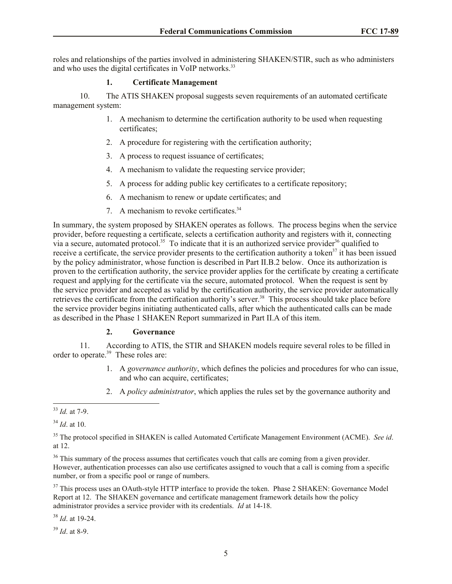roles and relationships of the parties involved in administering SHAKEN/STIR, such as who administers and who uses the digital certificates in VoIP networks.<sup>33</sup>

### **1. Certificate Management**

10. The ATIS SHAKEN proposal suggests seven requirements of an automated certificate management system:

- 1. A mechanism to determine the certification authority to be used when requesting certificates;
- 2. A procedure for registering with the certification authority;
- 3. A process to request issuance of certificates;
- 4. A mechanism to validate the requesting service provider;
- 5. A process for adding public key certificates to a certificate repository;
- 6. A mechanism to renew or update certificates; and
- 7. A mechanism to revoke certificates.<sup>34</sup>

In summary, the system proposed by SHAKEN operates as follows. The process begins when the service provider, before requesting a certificate, selects a certification authority and registers with it, connecting via a secure, automated protocol.<sup>35</sup> To indicate that it is an authorized service provider<sup>36</sup> qualified to receive a certificate, the service provider presents to the certification authority a token<sup>37</sup> it has been issued by the policy administrator, whose function is described in Part II.B.2 below. Once its authorization is proven to the certification authority, the service provider applies for the certificate by creating a certificate request and applying for the certificate via the secure, automated protocol. When the request is sent by the service provider and accepted as valid by the certification authority, the service provider automatically retrieves the certificate from the certification authority's server.<sup>38</sup> This process should take place before the service provider begins initiating authenticated calls, after which the authenticated calls can be made as described in the Phase 1 SHAKEN Report summarized in Part II.A of this item.

#### **2. Governance**

11. According to ATIS, the STIR and SHAKEN models require several roles to be filled in order to operate.<sup>39</sup> These roles are:

- 1. A *governance authority*, which defines the policies and procedures for who can issue, and who can acquire, certificates;
- 2. A *policy administrator*, which applies the rules set by the governance authority and

<sup>38</sup> *Id*. at 19-24.

<sup>39</sup> *Id*. at 8-9.

l <sup>33</sup> *Id.* at 7-9.

<sup>34</sup> *Id*. at 10.

<sup>35</sup> The protocol specified in SHAKEN is called Automated Certificate Management Environment (ACME). *See id*. at 12.

<sup>&</sup>lt;sup>36</sup> This summary of the process assumes that certificates vouch that calls are coming from a given provider. However, authentication processes can also use certificates assigned to vouch that a call is coming from a specific number, or from a specific pool or range of numbers.

<sup>&</sup>lt;sup>37</sup> This process uses an OAuth-style HTTP interface to provide the token. Phase 2 SHAKEN: Governance Model Report at 12. The SHAKEN governance and certificate management framework details how the policy administrator provides a service provider with its credentials. *Id* at 14-18.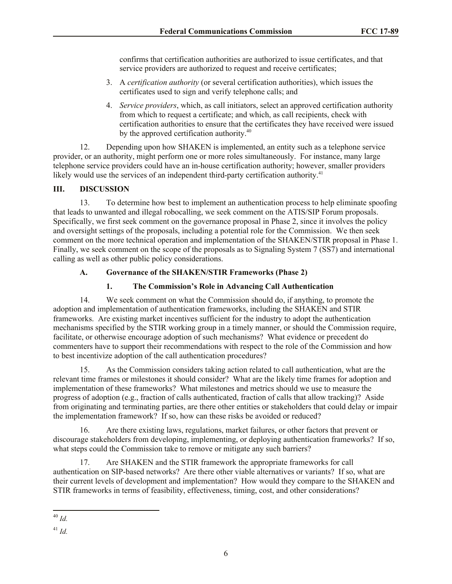confirms that certification authorities are authorized to issue certificates, and that service providers are authorized to request and receive certificates;

- 3. A *certification authority* (or several certification authorities), which issues the certificates used to sign and verify telephone calls; and
- 4. *Service providers*, which, as call initiators, select an approved certification authority from which to request a certificate; and which, as call recipients, check with certification authorities to ensure that the certificates they have received were issued by the approved certification authority.<sup>40</sup>

12. Depending upon how SHAKEN is implemented, an entity such as a telephone service provider, or an authority, might perform one or more roles simultaneously. For instance, many large telephone service providers could have an in-house certification authority; however, smaller providers likely would use the services of an independent third-party certification authority.<sup>41</sup>

# **III. DISCUSSION**

13. To determine how best to implement an authentication process to help eliminate spoofing that leads to unwanted and illegal robocalling, we seek comment on the ATIS/SIP Forum proposals. Specifically, we first seek comment on the governance proposal in Phase 2, since it involves the policy and oversight settings of the proposals, including a potential role for the Commission. We then seek comment on the more technical operation and implementation of the SHAKEN/STIR proposal in Phase 1. Finally, we seek comment on the scope of the proposals as to Signaling System 7 (SS7) and international calling as well as other public policy considerations.

# **A. Governance of the SHAKEN/STIR Frameworks (Phase 2)**

# **1. The Commission's Role in Advancing Call Authentication**

14. We seek comment on what the Commission should do, if anything, to promote the adoption and implementation of authentication frameworks, including the SHAKEN and STIR frameworks. Are existing market incentives sufficient for the industry to adopt the authentication mechanisms specified by the STIR working group in a timely manner, or should the Commission require, facilitate, or otherwise encourage adoption of such mechanisms? What evidence or precedent do commenters have to support their recommendations with respect to the role of the Commission and how to best incentivize adoption of the call authentication procedures?

15. As the Commission considers taking action related to call authentication, what are the relevant time frames or milestones it should consider? What are the likely time frames for adoption and implementation of these frameworks? What milestones and metrics should we use to measure the progress of adoption (e.g., fraction of calls authenticated, fraction of calls that allow tracking)? Aside from originating and terminating parties, are there other entities or stakeholders that could delay or impair the implementation framework? If so, how can these risks be avoided or reduced?

16. Are there existing laws, regulations, market failures, or other factors that prevent or discourage stakeholders from developing, implementing, or deploying authentication frameworks? If so, what steps could the Commission take to remove or mitigate any such barriers?

17. Are SHAKEN and the STIR framework the appropriate frameworks for call authentication on SIP-based networks? Are there other viable alternatives or variants? If so, what are their current levels of development and implementation? How would they compare to the SHAKEN and STIR frameworks in terms of feasibility, effectiveness, timing, cost, and other considerations?

l <sup>40</sup> *Id.*

<sup>41</sup> *Id.*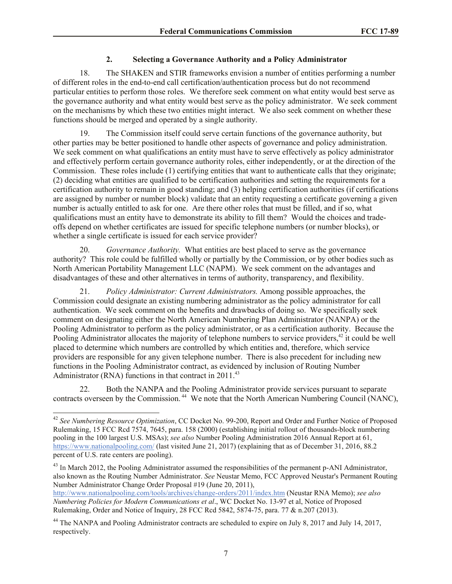### **2. Selecting a Governance Authority and a Policy Administrator**

18. The SHAKEN and STIR frameworks envision a number of entities performing a number of different roles in the end-to-end call certification/authentication process but do not recommend particular entities to perform those roles. We therefore seek comment on what entity would best serve as the governance authority and what entity would best serve as the policy administrator. We seek comment on the mechanisms by which these two entities might interact. We also seek comment on whether these functions should be merged and operated by a single authority.

19. The Commission itself could serve certain functions of the governance authority, but other parties may be better positioned to handle other aspects of governance and policy administration. We seek comment on what qualifications an entity must have to serve effectively as policy administrator and effectively perform certain governance authority roles, either independently, or at the direction of the Commission. These roles include (1) certifying entities that want to authenticate calls that they originate; (2) deciding what entities are qualified to be certification authorities and setting the requirements for a certification authority to remain in good standing; and (3) helping certification authorities (if certifications are assigned by number or number block) validate that an entity requesting a certificate governing a given number is actually entitled to ask for one. Are there other roles that must be filled, and if so, what qualifications must an entity have to demonstrate its ability to fill them? Would the choices and tradeoffs depend on whether certificates are issued for specific telephone numbers (or number blocks), or whether a single certificate is issued for each service provider?

20. *Governance Authority.* What entities are best placed to serve as the governance authority? This role could be fulfilled wholly or partially by the Commission, or by other bodies such as North American Portability Management LLC (NAPM). We seek comment on the advantages and disadvantages of these and other alternatives in terms of authority, transparency, and flexibility.

21. *Policy Administrator: Current Administrators.* Among possible approaches, the Commission could designate an existing numbering administrator as the policy administrator for call authentication. We seek comment on the benefits and drawbacks of doing so. We specifically seek comment on designating either the North American Numbering Plan Administrator (NANPA) or the Pooling Administrator to perform as the policy administrator, or as a certification authority. Because the Pooling Administrator allocates the majority of telephone numbers to service providers,<sup>42</sup> it could be well placed to determine which numbers are controlled by which entities and, therefore, which service providers are responsible for any given telephone number. There is also precedent for including new functions in the Pooling Administrator contract, as evidenced by inclusion of Routing Number Administrator (RNA) functions in that contract in 2011.<sup>43</sup>

22. Both the NANPA and the Pooling Administrator provide services pursuant to separate contracts overseen by the Commission.<sup>44</sup> We note that the North American Numbering Council (NANC),

 $\overline{\phantom{a}}$ 

<sup>42</sup> *See Numbering Resource Optimization*, CC Docket No. 99-200, Report and Order and Further Notice of Proposed Rulemaking, 15 FCC Rcd 7574, 7645, para. 158 (2000) (establishing initial rollout of thousands-block numbering pooling in the 100 largest U.S. MSAs); *see also* Number Pooling Administration 2016 Annual Report at 61, https://www.nationalpooling.com/ (last visited June 21, 2017) (explaining that as of December 31, 2016, 88.2 percent of U.S. rate centers are pooling).

<sup>&</sup>lt;sup>43</sup> In March 2012, the Pooling Administrator assumed the responsibilities of the permanent p-ANI Administrator, also known as the Routing Number Administrator. *See* Neustar Memo, FCC Approved Neustar's Permanent Routing Number Administrator Change Order Proposal #19 (June 20, 2011),

http://www.nationalpooling.com/tools/archives/change-orders/2011/index.htm (Neustar RNA Memo); *see also Numbering Policies for Modern Communications et al*., WC Docket No. 13-97 et al, Notice of Proposed Rulemaking, Order and Notice of Inquiry, 28 FCC Rcd 5842, 5874-75, para. 77 & n.207 (2013).

<sup>&</sup>lt;sup>44</sup> The NANPA and Pooling Administrator contracts are scheduled to expire on July 8, 2017 and July 14, 2017, respectively.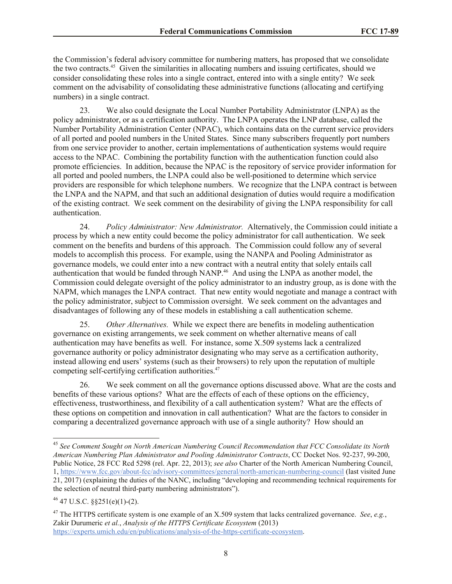the Commission's federal advisory committee for numbering matters, has proposed that we consolidate the two contracts.<sup>45</sup> Given the similarities in allocating numbers and issuing certificates, should we consider consolidating these roles into a single contract, entered into with a single entity? We seek comment on the advisability of consolidating these administrative functions (allocating and certifying numbers) in a single contract.

23. We also could designate the Local Number Portability Administrator (LNPA) as the policy administrator, or as a certification authority. The LNPA operates the LNP database, called the Number Portability Administration Center (NPAC), which contains data on the current service providers of all ported and pooled numbers in the United States. Since many subscribers frequently port numbers from one service provider to another, certain implementations of authentication systems would require access to the NPAC. Combining the portability function with the authentication function could also promote efficiencies. In addition, because the NPAC is the repository of service provider information for all ported and pooled numbers, the LNPA could also be well-positioned to determine which service providers are responsible for which telephone numbers. We recognize that the LNPA contract is between the LNPA and the NAPM, and that such an additional designation of duties would require a modification of the existing contract. We seek comment on the desirability of giving the LNPA responsibility for call authentication.

24. *Policy Administrator: New Administrator.* Alternatively, the Commission could initiate a process by which a new entity could become the policy administrator for call authentication. We seek comment on the benefits and burdens of this approach. The Commission could follow any of several models to accomplish this process. For example, using the NANPA and Pooling Administrator as governance models, we could enter into a new contract with a neutral entity that solely entails call authentication that would be funded through NANP.<sup>46</sup> And using the LNPA as another model, the Commission could delegate oversight of the policy administrator to an industry group, as is done with the NAPM, which manages the LNPA contract. That new entity would negotiate and manage a contract with the policy administrator, subject to Commission oversight. We seek comment on the advantages and disadvantages of following any of these models in establishing a call authentication scheme.

25. *Other Alternatives.* While we expect there are benefits in modeling authentication governance on existing arrangements, we seek comment on whether alternative means of call authentication may have benefits as well. For instance, some X.509 systems lack a centralized governance authority or policy administrator designating who may serve as a certification authority, instead allowing end users' systems (such as their browsers) to rely upon the reputation of multiple competing self-certifying certification authorities.<sup>47</sup>

26. We seek comment on all the governance options discussed above. What are the costs and benefits of these various options? What are the effects of each of these options on the efficiency, effectiveness, trustworthiness, and flexibility of a call authentication system? What are the effects of these options on competition and innovation in call authentication? What are the factors to consider in comparing a decentralized governance approach with use of a single authority? How should an

 $\overline{\phantom{a}}$ 

<sup>47</sup> The HTTPS certificate system is one example of an X.509 system that lacks centralized governance. *See*, *e.g.*, Zakir Durumeric *et al.*, *Analysis of the HTTPS Certificate Ecosystem* (2013) https://experts.umich.edu/en/publications/analysis-of-the-https-certificate-ecosystem.

<sup>45</sup> *See Comment Sought on North American Numbering Council Recommendation that FCC Consolidate its North American Numbering Plan Administrator and Pooling Administrator Contracts*, CC Docket Nos. 92-237, 99-200, Public Notice, 28 FCC Rcd 5298 (rel. Apr. 22, 2013); *see also* Charter of the North American Numbering Council, 1, https://www.fcc.gov/about-fcc/advisory-committees/general/north-american-numbering-council (last visited June 21, 2017) (explaining the duties of the NANC, including "developing and recommending technical requirements for the selection of neutral third-party numbering administrators").

 $46$  47 U.S.C.  $\frac{$251(e)(1)-(2)}{2}$ .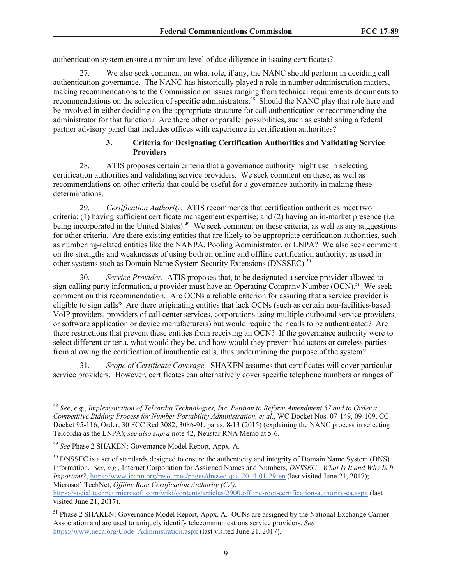authentication system ensure a minimum level of due diligence in issuing certificates?

27. We also seek comment on what role, if any, the NANC should perform in deciding call authentication governance. The NANC has historically played a role in number administration matters, making recommendations to the Commission on issues ranging from technical requirements documents to recommendations on the selection of specific administrators.<sup>48</sup> Should the NANC play that role here and be involved in either deciding on the appropriate structure for call authentication or recommending the administrator for that function? Are there other or parallel possibilities, such as establishing a federal partner advisory panel that includes offices with experience in certification authorities?

### **3. Criteria for Designating Certification Authorities and Validating Service Providers**

28. ATIS proposes certain criteria that a governance authority might use in selecting certification authorities and validating service providers. We seek comment on these, as well as recommendations on other criteria that could be useful for a governance authority in making these determinations.

29. *Certification Authority.* ATIS recommends that certification authorities meet two criteria: (1) having sufficient certificate management expertise; and (2) having an in-market presence (i.e. being incorporated in the United States).<sup>49</sup> We seek comment on these criteria, as well as any suggestions for other criteria. Are there existing entities that are likely to be appropriate certification authorities, such as numbering-related entities like the NANPA, Pooling Administrator, or LNPA? We also seek comment on the strengths and weaknesses of using both an online and offline certification authority, as used in other systems such as Domain Name System Security Extensions (DNSSEC).<sup>50</sup>

30. *Service Provider.* ATIS proposes that, to be designated a service provider allowed to sign calling party information, a provider must have an Operating Company Number (OCN).<sup>51</sup> We seek comment on this recommendation. Are OCNs a reliable criterion for assuring that a service provider is eligible to sign calls? Are there originating entities that lack OCNs (such as certain non-facilities-based VoIP providers, providers of call center services, corporations using multiple outbound service providers, or software application or device manufacturers) but would require their calls to be authenticated? Are there restrictions that prevent these entities from receiving an OCN? If the governance authority were to select different criteria, what would they be, and how would they prevent bad actors or careless parties from allowing the certification of inauthentic calls, thus undermining the purpose of the system?

31. *Scope of Certificate Coverage.* SHAKEN assumes that certificates will cover particular service providers. However, certificates can alternatively cover specific telephone numbers or ranges of

l

<sup>48</sup> *See*, *e.g*., *Implementation of Telcordia Technologies, Inc. Petition to Reform Amendment 57 and to Order a Competitive Bidding Process for Number Portability Administration, et al*., WC Docket Nos. 07-149, 09-109, CC Docket 95-116, Order, 30 FCC Rcd 3082, 3086-91, paras. 8-13 (2015) (explaining the NANC process in selecting Telcordia as the LNPA); *see also supra* note 42, Neustar RNA Memo at 5-6.

<sup>49</sup> *See* Phase 2 SHAKEN: Governance Model Report, Appx. A.

<sup>&</sup>lt;sup>50</sup> DNSSEC is a set of standards designed to ensure the authenticity and integrity of Domain Name System (DNS) information. *See*, *e.g.,* Internet Corporation for Assigned Names and Numbers, *DNSSEC—What Is It and Why Is It Important?*, https://www.icann.org/resources/pages/dnssec-qaa-2014-01-29-en (last visited June 21, 2017); Microsoft TechNet, *Offline Root Certification Authority (CA)*,

https://social.technet.microsoft.com/wiki/contents/articles/2900.offline-root-certification-authority-ca.aspx (last visited June 21, 2017).

<sup>51</sup> Phase 2 SHAKEN: Governance Model Report, Appx. A. OCNs are assigned by the National Exchange Carrier Association and are used to uniquely identify telecommunications service providers. *See* https://www.neca.org/Code\_Administration.aspx (last visited June 21, 2017).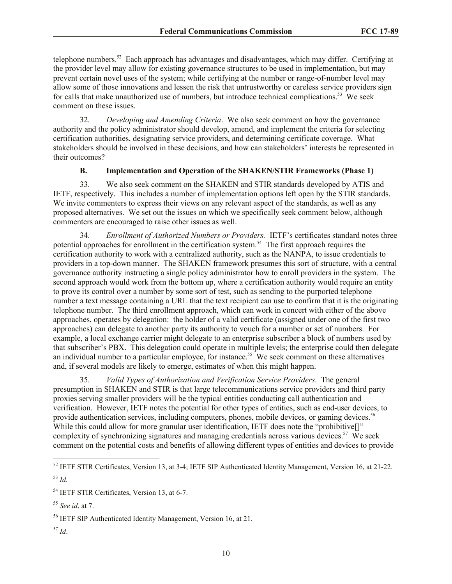telephone numbers.<sup>52</sup> Each approach has advantages and disadvantages, which may differ. Certifying at the provider level may allow for existing governance structures to be used in implementation, but may prevent certain novel uses of the system; while certifying at the number or range-of-number level may allow some of those innovations and lessen the risk that untrustworthy or careless service providers sign for calls that make unauthorized use of numbers, but introduce technical complications.<sup>53</sup> We seek comment on these issues.

32. *Developing and Amending Criteria*.We also seek comment on how the governance authority and the policy administrator should develop, amend, and implement the criteria for selecting certification authorities, designating service providers, and determining certificate coverage. What stakeholders should be involved in these decisions, and how can stakeholders' interests be represented in their outcomes?

### **B. Implementation and Operation of the SHAKEN/STIR Frameworks (Phase 1)**

33. We also seek comment on the SHAKEN and STIR standards developed by ATIS and IETF, respectively. This includes a number of implementation options left open by the STIR standards. We invite commenters to express their views on any relevant aspect of the standards, as well as any proposed alternatives. We set out the issues on which we specifically seek comment below, although commenters are encouraged to raise other issues as well.

34. *Enrollment of Authorized Numbers or Providers.* IETF's certificates standard notes three potential approaches for enrollment in the certification system.<sup>54</sup> The first approach requires the certification authority to work with a centralized authority, such as the NANPA, to issue credentials to providers in a top-down manner. The SHAKEN framework presumes this sort of structure, with a central governance authority instructing a single policy administrator how to enroll providers in the system. The second approach would work from the bottom up, where a certification authority would require an entity to prove its control over a number by some sort of test, such as sending to the purported telephone number a text message containing a URL that the text recipient can use to confirm that it is the originating telephone number. The third enrollment approach, which can work in concert with either of the above approaches, operates by delegation: the holder of a valid certificate (assigned under one of the first two approaches) can delegate to another party its authority to vouch for a number or set of numbers. For example, a local exchange carrier might delegate to an enterprise subscriber a block of numbers used by that subscriber's PBX. This delegation could operate in multiple levels; the enterprise could then delegate an individual number to a particular employee, for instance.<sup>55</sup> We seek comment on these alternatives and, if several models are likely to emerge, estimates of when this might happen.

35. *Valid Types of Authorization and Verification Service Providers*. The general presumption in SHAKEN and STIR is that large telecommunications service providers and third party proxies serving smaller providers will be the typical entities conducting call authentication and verification. However, IETF notes the potential for other types of entities, such as end-user devices, to provide authentication services, including computers, phones, mobile devices, or gaming devices.<sup>56</sup> While this could allow for more granular user identification, IETF does note the "prohibitive<sup>[]"</sup> complexity of synchronizing signatures and managing credentials across various devices.<sup>57</sup> We seek comment on the potential costs and benefits of allowing different types of entities and devices to provide

l

<sup>57</sup> *Id*.

 $52$  IETF STIR Certificates, Version 13, at 3-4; IETF SIP Authenticated Identity Management, Version 16, at 21-22.

<sup>53</sup> *Id.*

<sup>54</sup> IETF STIR Certificates, Version 13, at 6-7.

<sup>55</sup> *See id*. at 7.

<sup>56</sup> IETF SIP Authenticated Identity Management, Version 16, at 21.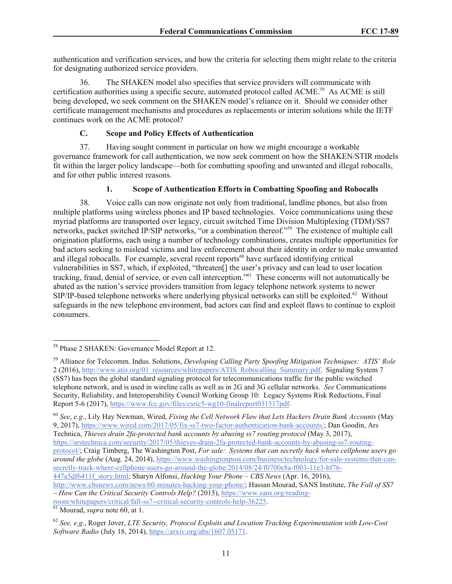authentication and verification services, and how the criteria for selecting them might relate to the criteria for designating authorized service providers.

36. The SHAKEN model also specifies that service providers will communicate with certification authorities using a specific secure, automated protocol called ACME.<sup>58</sup> As ACME is still being developed, we seek comment on the SHAKEN model's reliance on it. Should we consider other certificate management mechanisms and procedures as replacements or interim solutions while the IETF continues work on the ACME protocol?

### **C. Scope and Policy Effects of Authentication**

37. Having sought comment in particular on how we might encourage a workable governance framework for call authentication, we now seek comment on how the SHAKEN/STIR models fit within the larger policy landscape—both for combatting spoofing and unwanted and illegal robocalls, and for other public interest reasons.

## **1. Scope of Authentication Efforts in Combatting Spoofing and Robocalls**

38. Voice calls can now originate not only from traditional, landline phones, but also from multiple platforms using wireless phones and IP based technologies. Voice communications using these myriad platforms are transported over legacy, circuit switched Time Division Multiplexing (TDM)/SS7 networks, packet switched IP/SIP networks, "or a combination thereof."<sup>59</sup> The existence of multiple call origination platforms, each using a number of technology combinations, creates multiple opportunities for bad actors seeking to mislead victims and law enforcement about their identity in order to make unwanted and illegal robocalls. For example, several recent reports<sup>60</sup> have surfaced identifying critical vulnerabilities in SS7, which, if exploited, "threaten[] the user's privacy and can lead to user location tracking, fraud, denial of service, or even call interception."<sup>61</sup> These concerns will not automatically be abated as the nation's service providers transition from legacy telephone network systems to newer SIP/IP-based telephone networks where underlying physical networks can still be exploited.<sup>62</sup> Without safeguards in the new telephone environment, bad actors can find and exploit flaws to continue to exploit consumers.

http://www.cbsnews.com/news/60-minutes-hacking-your-phone/; Hassan Mourad, SANS Institute, *The Fall of SS7 – How Can the Critical Security Controls Help?* (2015), https://www.sans.org/reading-

<sup>61</sup> Mourad, *supra* note 60, at 1.

 $\overline{\phantom{a}}$ 

<sup>58</sup> Phase 2 SHAKEN: Governance Model Report at 12.

<sup>59</sup> Alliance for Telecomm. Indus. Solutions, *Developing Calling Party Spoofing Mitigation Techniques: ATIS' Role*  2 (2016), http://www.atis.org/01\_resources/whitepapers/ATIS\_Robocalling\_Summary.pdf. Signaling System 7 (SS7) has been the global standard signaling protocol for telecommunications traffic for the public switched telephone network, and is used in wireline calls as well as in 2G and 3G cellular networks. *See* Communications Security, Reliability, and Interoperability Council Working Group 10: Legacy Systems Risk Reductions, Final Report 5-6 (2017), https://www.fcc.gov/files/csric5-wg10-finalreport031517pdf.

<sup>60</sup> *See*, *e.g*., Lily Hay Newman, Wired, *Fixing the Cell Network Flaw that Lets Hackers Drain Bank Accounts* (May 9, 2017), https://www.wired.com/2017/05/fix-ss7-two-factor-authentication-bank-accounts/; Dan Goodin, Ars Technica, *Thieves drain 2fa-protected bank accounts by abusing ss7 routing protocol* (May 3, 2017),

https://arstechnica.com/security/2017/05/thieves-drain-2fa-protected-bank-accounts-by-abusing-ss7-routingprotocol/; Craig Timberg, The Washington Post, *For sale: Systems that can secretly hack where cellphone users go around the globe* (Aug. 24, 2014), https://www.washingtonpost.com/business/technology/for-sale-systems-that-cansecretly-track-where-cellphone-users-go-around-the-globe/2014/08/24/f0700e8a-f003-11e3-bf76- 447a5df6411f\_story.html; Sharyn Alfonsi, *Hacking Your Phone – CBS News* (Apr. 16, 2016),

room/whitepapers/critical/fall-ss7--critical-security-controls-help-36225.

<sup>62</sup> *See, e.g*., Roger Jover, *LTE Security, Protocol Exploits and Location Tracking Experimentation with Low-Cost Software Radio* (July 18, 2014), https://arxiv.org/abs/1607.05171.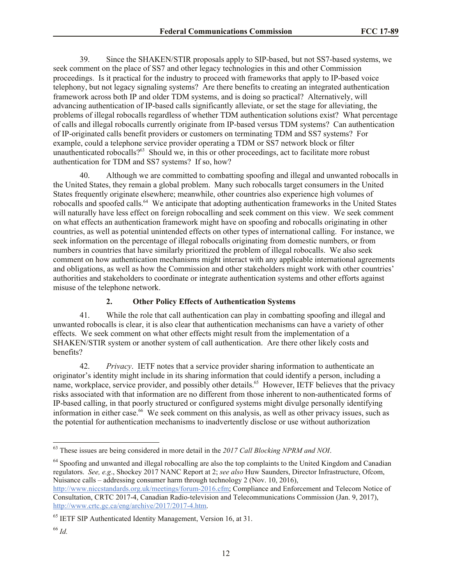39. Since the SHAKEN/STIR proposals apply to SIP-based, but not SS7-based systems, we seek comment on the place of SS7 and other legacy technologies in this and other Commission proceedings. Is it practical for the industry to proceed with frameworks that apply to IP-based voice telephony, but not legacy signaling systems? Are there benefits to creating an integrated authentication framework across both IP and older TDM systems, and is doing so practical? Alternatively, will advancing authentication of IP-based calls significantly alleviate, or set the stage for alleviating, the problems of illegal robocalls regardless of whether TDM authentication solutions exist? What percentage of calls and illegal robocalls currently originate from IP-based versus TDM systems? Can authentication of IP-originated calls benefit providers or customers on terminating TDM and SS7 systems? For example, could a telephone service provider operating a TDM or SS7 network block or filter unauthenticated robocalls?<sup>63</sup> Should we, in this or other proceedings, act to facilitate more robust authentication for TDM and SS7 systems? If so, how?

40. Although we are committed to combatting spoofing and illegal and unwanted robocalls in the United States, they remain a global problem. Many such robocalls target consumers in the United States frequently originate elsewhere; meanwhile, other countries also experience high volumes of robocalls and spoofed calls.<sup>64</sup> We anticipate that adopting authentication frameworks in the United States will naturally have less effect on foreign robocalling and seek comment on this view. We seek comment on what effects an authentication framework might have on spoofing and robocalls originating in other countries, as well as potential unintended effects on other types of international calling. For instance, we seek information on the percentage of illegal robocalls originating from domestic numbers, or from numbers in countries that have similarly prioritized the problem of illegal robocalls. We also seek comment on how authentication mechanisms might interact with any applicable international agreements and obligations, as well as how the Commission and other stakeholders might work with other countries' authorities and stakeholders to coordinate or integrate authentication systems and other efforts against misuse of the telephone network.

#### **2. Other Policy Effects of Authentication Systems**

41. While the role that call authentication can play in combatting spoofing and illegal and unwanted robocalls is clear, it is also clear that authentication mechanisms can have a variety of other effects. We seek comment on what other effects might result from the implementation of a SHAKEN/STIR system or another system of call authentication. Are there other likely costs and benefits?

42. *Privacy*. IETF notes that a service provider sharing information to authenticate an originator's identity might include in its sharing information that could identify a person, including a name, workplace, service provider, and possibly other details.<sup>65</sup> However, IETF believes that the privacy risks associated with that information are no different from those inherent to non-authenticated forms of IP-based calling, in that poorly structured or configured systems might divulge personally identifying information in either case.<sup>66</sup> We seek comment on this analysis, as well as other privacy issues, such as the potential for authentication mechanisms to inadvertently disclose or use without authorization

<sup>64</sup> Spoofing and unwanted and illegal robocalling are also the top complaints to the United Kingdom and Canadian regulators. *See, e.g*., Shockey 2017 NANC Report at 2; *see also* Huw Saunders, Director Infrastructure, Ofcom, Nuisance calls – addressing consumer harm through technology 2 (Nov. 10, 2016),

l

<sup>63</sup> These issues are being considered in more detail in the *2017 Call Blocking NPRM and NOI*.

http://www.niccstandards.org.uk/meetings/forum-2016.cfm; Compliance and Enforcement and Telecom Notice of Consultation, CRTC 2017-4, Canadian Radio-television and Telecommunications Commission (Jan. 9, 2017), http://www.crtc.gc.ca/eng/archive/2017/2017-4.htm.

<sup>65</sup> IETF SIP Authenticated Identity Management, Version 16, at 31.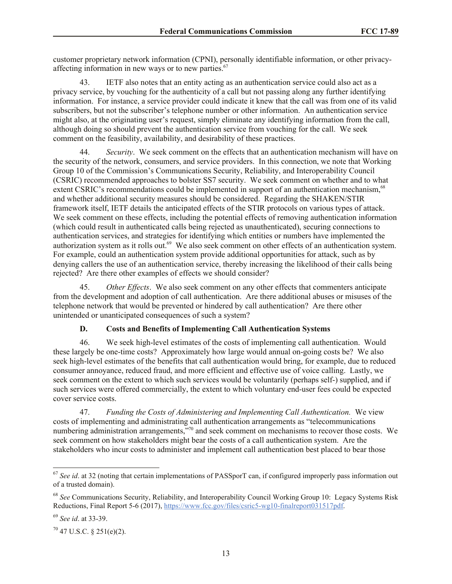customer proprietary network information (CPNI), personally identifiable information, or other privacyaffecting information in new ways or to new parties. $67$ 

43. IETF also notes that an entity acting as an authentication service could also act as a privacy service, by vouching for the authenticity of a call but not passing along any further identifying information. For instance, a service provider could indicate it knew that the call was from one of its valid subscribers, but not the subscriber's telephone number or other information. An authentication service might also, at the originating user's request, simply eliminate any identifying information from the call, although doing so should prevent the authentication service from vouching for the call. We seek comment on the feasibility, availability, and desirability of these practices.

Security. We seek comment on the effects that an authentication mechanism will have on the security of the network, consumers, and service providers. In this connection, we note that Working Group 10 of the Commission's Communications Security, Reliability, and Interoperability Council (CSRIC) recommended approaches to bolster SS7 security. We seek comment on whether and to what extent CSRIC's recommendations could be implemented in support of an authentication mechanism,<sup>68</sup> and whether additional security measures should be considered. Regarding the SHAKEN/STIR framework itself, IETF details the anticipated effects of the STIR protocols on various types of attack. We seek comment on these effects, including the potential effects of removing authentication information (which could result in authenticated calls being rejected as unauthenticated), securing connections to authentication services, and strategies for identifying which entities or numbers have implemented the authorization system as it rolls out.<sup>69</sup> We also seek comment on other effects of an authentication system. For example, could an authentication system provide additional opportunities for attack, such as by denying callers the use of an authentication service, thereby increasing the likelihood of their calls being rejected? Are there other examples of effects we should consider?

45. *Other Effects*. We also seek comment on any other effects that commenters anticipate from the development and adoption of call authentication. Are there additional abuses or misuses of the telephone network that would be prevented or hindered by call authentication? Are there other unintended or unanticipated consequences of such a system?

#### **D. Costs and Benefits of Implementing Call Authentication Systems**

46. We seek high-level estimates of the costs of implementing call authentication. Would these largely be one-time costs? Approximately how large would annual on-going costs be? We also seek high-level estimates of the benefits that call authentication would bring, for example, due to reduced consumer annoyance, reduced fraud, and more efficient and effective use of voice calling. Lastly, we seek comment on the extent to which such services would be voluntarily (perhaps self-) supplied, and if such services were offered commercially, the extent to which voluntary end-user fees could be expected cover service costs.

47. *Funding the Costs of Administering and Implementing Call Authentication.* We view costs of implementing and administrating call authentication arrangements as "telecommunications numbering administration arrangements,<sup>570</sup> and seek comment on mechanisms to recover those costs. We seek comment on how stakeholders might bear the costs of a call authentication system. Are the stakeholders who incur costs to administer and implement call authentication best placed to bear those

l

<sup>67</sup> *See id*. at 32 (noting that certain implementations of PASSporT can, if configured improperly pass information out of a trusted domain).

<sup>68</sup> *See* Communications Security, Reliability, and Interoperability Council Working Group 10: Legacy Systems Risk Reductions, Final Report 5-6 (2017), https://www.fcc.gov/files/csric5-wg10-finalreport031517pdf.

<sup>69</sup> *See id*. at 33-39.

 $70$  47 U.S.C. § 251(e)(2).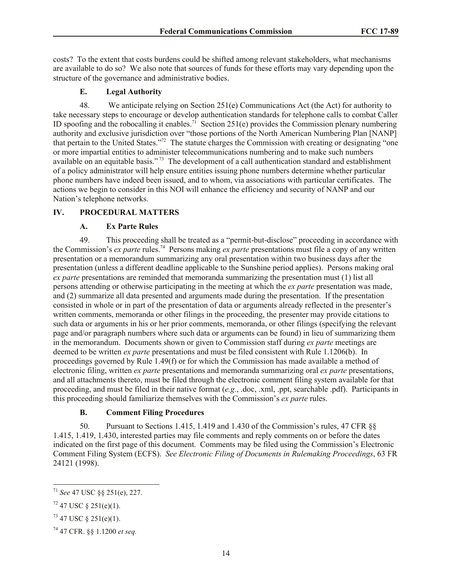costs? To the extent that costs burdens could be shifted among relevant stakeholders, what mechanisms are available to do so? We also note that sources of funds for these efforts may vary depending upon the structure of the governance and administrative bodies.

# **E. Legal Authority**

48. We anticipate relying on Section 251(e) Communications Act (the Act) for authority to take necessary steps to encourage or develop authentication standards for telephone calls to combat Caller ID spoofing and the robocalling it enables.<sup>71</sup> Section 251(e) provides the Commission plenary numbering authority and exclusive jurisdiction over "those portions of the North American Numbering Plan [NANP] that pertain to the United States."<sup>72</sup> The statute charges the Commission with creating or designating "one or more impartial entities to administer telecommunications numbering and to make such numbers available on an equitable basis."<sup>73</sup> The development of a call authentication standard and establishment of a policy administrator will help ensure entities issuing phone numbers determine whether particular phone numbers have indeed been issued, and to whom, via associations with particular certificates. The actions we begin to consider in this NOI will enhance the efficiency and security of NANP and our Nation's telephone networks.

# **IV. PROCEDURAL MATTERS**

## **A. Ex Parte Rules**

49. This proceeding shall be treated as a "permit-but-disclose" proceeding in accordance with the Commission's *ex parte* rules.<sup>74</sup> Persons making *ex parte* presentations must file a copy of any written presentation or a memorandum summarizing any oral presentation within two business days after the presentation (unless a different deadline applicable to the Sunshine period applies). Persons making oral *ex parte* presentations are reminded that memoranda summarizing the presentation must (1) list all persons attending or otherwise participating in the meeting at which the *ex parte* presentation was made, and (2) summarize all data presented and arguments made during the presentation. If the presentation consisted in whole or in part of the presentation of data or arguments already reflected in the presenter's written comments, memoranda or other filings in the proceeding, the presenter may provide citations to such data or arguments in his or her prior comments, memoranda, or other filings (specifying the relevant page and/or paragraph numbers where such data or arguments can be found) in lieu of summarizing them in the memorandum. Documents shown or given to Commission staff during *ex parte* meetings are deemed to be written *ex parte* presentations and must be filed consistent with Rule 1.1206(b). In proceedings governed by Rule 1.49(f) or for which the Commission has made available a method of electronic filing, written *ex parte* presentations and memoranda summarizing oral *ex parte* presentations, and all attachments thereto, must be filed through the electronic comment filing system available for that proceeding, and must be filed in their native format (*e.g.*, .doc, .xml, .ppt, searchable .pdf). Participants in this proceeding should familiarize themselves with the Commission's *ex parte* rules.

## **B. Comment Filing Procedures**

50. Pursuant to Sections 1.415, 1.419 and 1.430 of the Commission's rules, 47 CFR §§ 1.415, 1.419, 1.430, interested parties may file comments and reply comments on or before the dates indicated on the first page of this document. Comments may be filed using the Commission's Electronic Comment Filing System (ECFS). *See Electronic Filing of Documents in Rulemaking Proceedings*, 63 FR 24121 (1998).

 $\overline{\phantom{a}}$ <sup>71</sup> *See* 47 USC §§ 251(e), 227.

 $72$  47 USC § 251(e)(1).

 $73$  47 USC § 251(e)(1).

<sup>74</sup> 47 CFR. §§ 1.1200 *et seq.*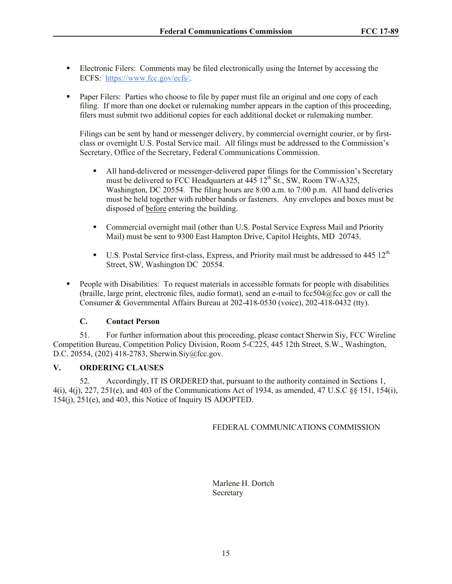- Electronic Filers: Comments may be filed electronically using the Internet by accessing the ECFS: https://www.fcc.gov/ecfs/.
- **Paper Filers:** Parties who choose to file by paper must file an original and one copy of each filing. If more than one docket or rulemaking number appears in the caption of this proceeding, filers must submit two additional copies for each additional docket or rulemaking number.

Filings can be sent by hand or messenger delivery, by commercial overnight courier, or by firstclass or overnight U.S. Postal Service mail. All filings must be addressed to the Commission's Secretary, Office of the Secretary, Federal Communications Commission.

- All hand-delivered or messenger-delivered paper filings for the Commission's Secretary must be delivered to FCC Headquarters at  $\frac{445}{12}$ th St., SW, Room TW-A325, Washington, DC 20554. The filing hours are 8:00 a.m. to 7:00 p.m. All hand deliveries must be held together with rubber bands or fasteners. Any envelopes and boxes must be disposed of before entering the building.
- Commercial overnight mail (other than U.S. Postal Service Express Mail and Priority Mail) must be sent to 9300 East Hampton Drive, Capitol Heights, MD 20743.
- U.S. Postal Service first-class, Express, and Priority mail must be addressed to  $445 \times 12^{th}$ Street, SW, Washington DC 20554.
- People with Disabilities: To request materials in accessible formats for people with disabilities (braille, large print, electronic files, audio format), send an e-mail to fcc504@fcc.gov or call the Consumer & Governmental Affairs Bureau at 202-418-0530 (voice), 202-418-0432 (tty).

## **C. Contact Person**

51. For further information about this proceeding, please contact Sherwin Siy, FCC Wireline Competition Bureau, Competition Policy Division, Room 5-C225, 445 12th Street, S.W., Washington, D.C. 20554, (202) 418-2783, Sherwin.Siy@fcc.gov.

## **V. ORDERING CLAUSES**

52. Accordingly, IT IS ORDERED that, pursuant to the authority contained in Sections 1, 4(i), 4(j), 227, 251(e), and 403 of the Communications Act of 1934, as amended, 47 U.S.C §§ 151, 154(i), 154(j), 251(e), and 403, this Notice of Inquiry IS ADOPTED.

FEDERAL COMMUNICATIONS COMMISSION

Marlene H. Dortch Secretary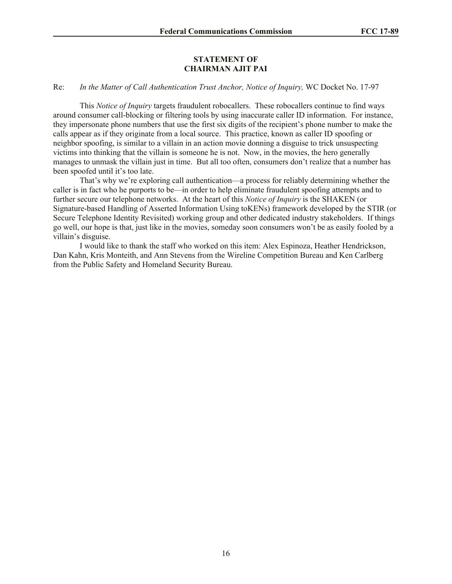#### **STATEMENT OF CHAIRMAN AJIT PAI**

#### Re: *In the Matter of Call Authentication Trust Anchor, Notice of Inquiry,* WC Docket No. 17-97

This *Notice of Inquiry* targets fraudulent robocallers. These robocallers continue to find ways around consumer call-blocking or filtering tools by using inaccurate caller ID information. For instance, they impersonate phone numbers that use the first six digits of the recipient's phone number to make the calls appear as if they originate from a local source. This practice, known as caller ID spoofing or neighbor spoofing, is similar to a villain in an action movie donning a disguise to trick unsuspecting victims into thinking that the villain is someone he is not. Now, in the movies, the hero generally manages to unmask the villain just in time. But all too often, consumers don't realize that a number has been spoofed until it's too late.

That's why we're exploring call authentication—a process for reliably determining whether the caller is in fact who he purports to be—in order to help eliminate fraudulent spoofing attempts and to further secure our telephone networks. At the heart of this *Notice of Inquiry* is the SHAKEN (or Signature-based Handling of Asserted Information Using toKENs) framework developed by the STIR (or Secure Telephone Identity Revisited) working group and other dedicated industry stakeholders. If things go well, our hope is that, just like in the movies, someday soon consumers won't be as easily fooled by a villain's disguise.

I would like to thank the staff who worked on this item: Alex Espinoza, Heather Hendrickson, Dan Kahn, Kris Monteith, and Ann Stevens from the Wireline Competition Bureau and Ken Carlberg from the Public Safety and Homeland Security Bureau.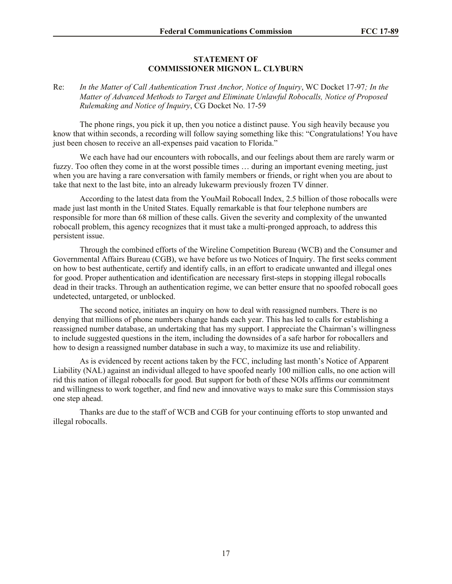#### **STATEMENT OF COMMISSIONER MIGNON L. CLYBURN**

#### Re: *In the Matter of Call Authentication Trust Anchor, Notice of Inquiry*, WC Docket 17-97*; In the Matter of Advanced Methods to Target and Eliminate Unlawful Robocalls, Notice of Proposed Rulemaking and Notice of Inquiry*, CG Docket No. 17-59

The phone rings, you pick it up, then you notice a distinct pause. You sigh heavily because you know that within seconds, a recording will follow saying something like this: "Congratulations! You have just been chosen to receive an all-expenses paid vacation to Florida."

We each have had our encounters with robocalls, and our feelings about them are rarely warm or fuzzy. Too often they come in at the worst possible times … during an important evening meeting, just when you are having a rare conversation with family members or friends, or right when you are about to take that next to the last bite, into an already lukewarm previously frozen TV dinner.

According to the latest data from the YouMail Robocall Index, 2.5 billion of those robocalls were made just last month in the United States. Equally remarkable is that four telephone numbers are responsible for more than 68 million of these calls. Given the severity and complexity of the unwanted robocall problem, this agency recognizes that it must take a multi-pronged approach, to address this persistent issue.

Through the combined efforts of the Wireline Competition Bureau (WCB) and the Consumer and Governmental Affairs Bureau (CGB), we have before us two Notices of Inquiry. The first seeks comment on how to best authenticate, certify and identify calls, in an effort to eradicate unwanted and illegal ones for good. Proper authentication and identification are necessary first-steps in stopping illegal robocalls dead in their tracks. Through an authentication regime, we can better ensure that no spoofed robocall goes undetected, untargeted, or unblocked.

The second notice, initiates an inquiry on how to deal with reassigned numbers. There is no denying that millions of phone numbers change hands each year. This has led to calls for establishing a reassigned number database, an undertaking that has my support. I appreciate the Chairman's willingness to include suggested questions in the item, including the downsides of a safe harbor for robocallers and how to design a reassigned number database in such a way, to maximize its use and reliability.

As is evidenced by recent actions taken by the FCC, including last month's Notice of Apparent Liability (NAL) against an individual alleged to have spoofed nearly 100 million calls, no one action will rid this nation of illegal robocalls for good. But support for both of these NOIs affirms our commitment and willingness to work together, and find new and innovative ways to make sure this Commission stays one step ahead.

Thanks are due to the staff of WCB and CGB for your continuing efforts to stop unwanted and illegal robocalls.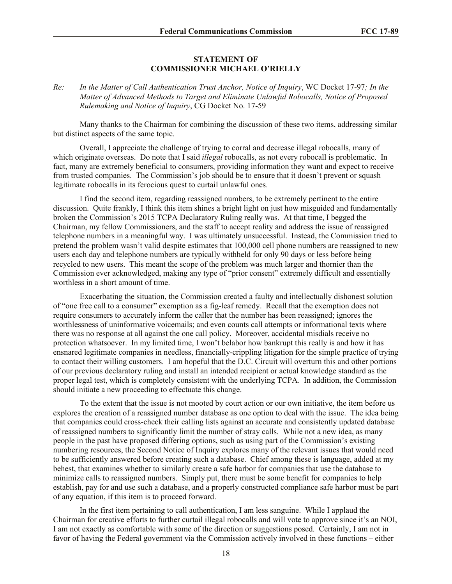#### **STATEMENT OF COMMISSIONER MICHAEL O'RIELLY**

#### *Re: In the Matter of Call Authentication Trust Anchor, Notice of Inquiry*, WC Docket 17-97*; In the Matter of Advanced Methods to Target and Eliminate Unlawful Robocalls, Notice of Proposed Rulemaking and Notice of Inquiry*, CG Docket No. 17-59

Many thanks to the Chairman for combining the discussion of these two items, addressing similar but distinct aspects of the same topic.

Overall, I appreciate the challenge of trying to corral and decrease illegal robocalls, many of which originate overseas. Do note that I said *illegal* robocalls, as not every robocall is problematic. In fact, many are extremely beneficial to consumers, providing information they want and expect to receive from trusted companies. The Commission's job should be to ensure that it doesn't prevent or squash legitimate robocalls in its ferocious quest to curtail unlawful ones.

I find the second item, regarding reassigned numbers, to be extremely pertinent to the entire discussion. Quite frankly, I think this item shines a bright light on just how misguided and fundamentally broken the Commission's 2015 TCPA Declaratory Ruling really was. At that time, I begged the Chairman, my fellow Commissioners, and the staff to accept reality and address the issue of reassigned telephone numbers in a meaningful way. I was ultimately unsuccessful. Instead, the Commission tried to pretend the problem wasn't valid despite estimates that 100,000 cell phone numbers are reassigned to new users each day and telephone numbers are typically withheld for only 90 days or less before being recycled to new users. This meant the scope of the problem was much larger and thornier than the Commission ever acknowledged, making any type of "prior consent" extremely difficult and essentially worthless in a short amount of time.

Exacerbating the situation, the Commission created a faulty and intellectually dishonest solution of "one free call to a consumer" exemption as a fig-leaf remedy. Recall that the exemption does not require consumers to accurately inform the caller that the number has been reassigned; ignores the worthlessness of uninformative voicemails; and even counts call attempts or informational texts where there was no response at all against the one call policy. Moreover, accidental misdials receive no protection whatsoever. In my limited time, I won't belabor how bankrupt this really is and how it has ensnared legitimate companies in needless, financially-crippling litigation for the simple practice of trying to contact their willing customers. I am hopeful that the D.C. Circuit will overturn this and other portions of our previous declaratory ruling and install an intended recipient or actual knowledge standard as the proper legal test, which is completely consistent with the underlying TCPA. In addition, the Commission should initiate a new proceeding to effectuate this change.

To the extent that the issue is not mooted by court action or our own initiative, the item before us explores the creation of a reassigned number database as one option to deal with the issue. The idea being that companies could cross-check their calling lists against an accurate and consistently updated database of reassigned numbers to significantly limit the number of stray calls. While not a new idea, as many people in the past have proposed differing options, such as using part of the Commission's existing numbering resources, the Second Notice of Inquiry explores many of the relevant issues that would need to be sufficiently answered before creating such a database. Chief among these is language, added at my behest, that examines whether to similarly create a safe harbor for companies that use the database to minimize calls to reassigned numbers. Simply put, there must be some benefit for companies to help establish, pay for and use such a database, and a properly constructed compliance safe harbor must be part of any equation, if this item is to proceed forward.

In the first item pertaining to call authentication, I am less sanguine. While I applaud the Chairman for creative efforts to further curtail illegal robocalls and will vote to approve since it's an NOI, I am not exactly as comfortable with some of the direction or suggestions posed. Certainly, I am not in favor of having the Federal government via the Commission actively involved in these functions – either